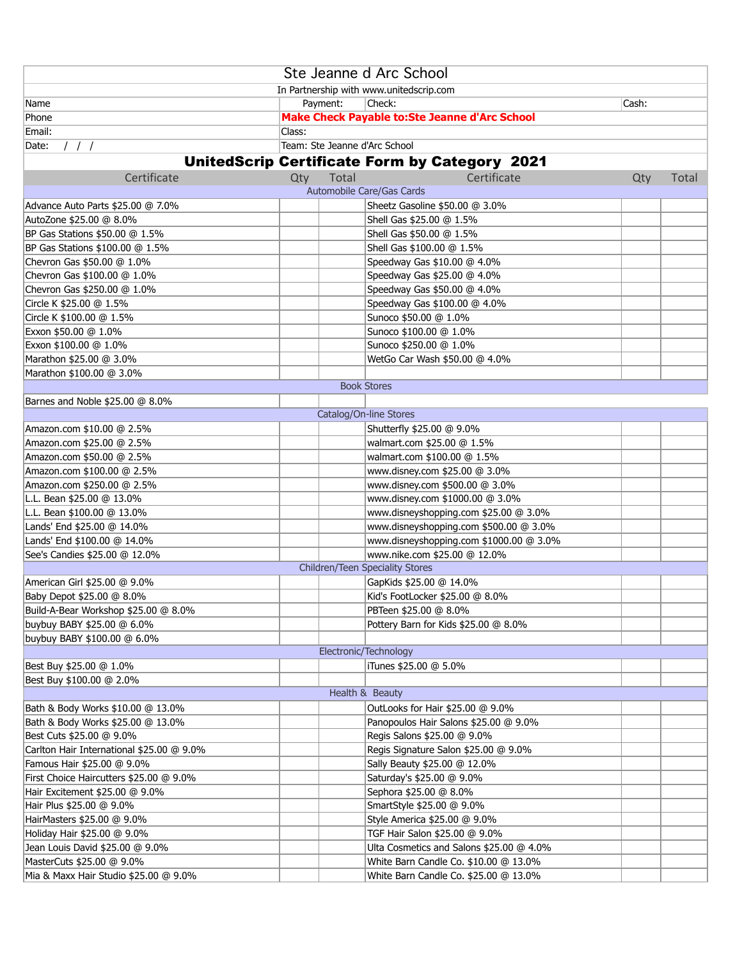| Ste Jeanne d Arc School                   |        |          |                                                                      |       |       |
|-------------------------------------------|--------|----------|----------------------------------------------------------------------|-------|-------|
| In Partnership with www.unitedscrip.com   |        |          |                                                                      |       |       |
| Name                                      |        | Payment: | Check:                                                               | Cash: |       |
| Phone                                     |        |          | <b>Make Check Payable to:Ste Jeanne d'Arc School</b>                 |       |       |
| Email:                                    | Class: |          |                                                                      |       |       |
| 111<br>Date:                              |        |          | Team: Ste Jeanne d'Arc School                                        |       |       |
|                                           |        |          | <b>UnitedScrip Certificate Form by Category 2021</b>                 |       |       |
|                                           |        |          |                                                                      |       |       |
| Certificate                               | Qty    | Total    | Certificate<br>Automobile Care/Gas Cards                             | Qty   | Total |
|                                           |        |          |                                                                      |       |       |
| Advance Auto Parts \$25.00 @ 7.0%         |        |          | Sheetz Gasoline \$50.00 @ 3.0%                                       |       |       |
| AutoZone \$25.00 @ 8.0%                   |        |          | Shell Gas \$25.00 @ 1.5%                                             |       |       |
| BP Gas Stations \$50.00 @ 1.5%            |        |          | Shell Gas \$50.00 @ 1.5%                                             |       |       |
| BP Gas Stations \$100.00 @ 1.5%           |        |          | Shell Gas \$100.00 @ 1.5%                                            |       |       |
| Chevron Gas \$50.00 @ 1.0%                |        |          | Speedway Gas \$10.00 @ 4.0%                                          |       |       |
| Chevron Gas \$100.00 @ 1.0%               |        |          | Speedway Gas \$25.00 @ 4.0%                                          |       |       |
| Chevron Gas \$250.00 @ 1.0%               |        |          | Speedway Gas \$50.00 @ 4.0%                                          |       |       |
| Circle K \$25.00 @ 1.5%                   |        |          | Speedway Gas \$100.00 @ 4.0%                                         |       |       |
| Circle K \$100.00 @ 1.5%                  |        |          | Sunoco \$50.00 @ 1.0%                                                |       |       |
| Exxon \$50.00 @ 1.0%                      |        |          | Sunoco \$100.00 @ 1.0%                                               |       |       |
| Exxon \$100.00 @ 1.0%                     |        |          | Sunoco \$250.00 @ 1.0%                                               |       |       |
| Marathon \$25.00 @ 3.0%                   |        |          | WetGo Car Wash \$50.00 @ 4.0%                                        |       |       |
| Marathon \$100.00 @ 3.0%                  |        |          | <b>Book Stores</b>                                                   |       |       |
|                                           |        |          |                                                                      |       |       |
| Barnes and Noble \$25.00 @ 8.0%           |        |          |                                                                      |       |       |
|                                           |        |          | Catalog/On-line Stores                                               |       |       |
| Amazon.com \$10.00 @ 2.5%                 |        |          | Shutterfly \$25.00 @ 9.0%                                            |       |       |
| Amazon.com \$25.00 @ 2.5%                 |        |          | walmart.com \$25.00 @ 1.5%                                           |       |       |
| Amazon.com \$50.00 @ 2.5%                 |        |          | walmart.com \$100.00 @ 1.5%                                          |       |       |
| Amazon.com \$100.00 @ 2.5%                |        |          | www.disney.com \$25.00 @ 3.0%                                        |       |       |
| Amazon.com \$250.00 @ 2.5%                |        |          | www.disney.com \$500.00 @ 3.0%                                       |       |       |
| L.L. Bean \$25.00 @ 13.0%                 |        |          | www.disney.com \$1000.00 @ 3.0%                                      |       |       |
| L.L. Bean \$100.00 @ 13.0%                |        |          | www.disneyshopping.com \$25.00 @ 3.0%                                |       |       |
| Lands' End \$25.00 @ 14.0%                |        |          | www.disneyshopping.com \$500.00 @ 3.0%                               |       |       |
| Lands' End \$100.00 @ 14.0%               |        |          | www.disneyshopping.com \$1000.00 @ 3.0%                              |       |       |
| See's Candies \$25.00 @ 12.0%             |        |          | www.nike.com \$25.00 @ 12.0%                                         |       |       |
|                                           |        |          | Children/Teen Speciality Stores                                      |       |       |
| American Girl \$25.00 @ 9.0%              |        |          | GapKids \$25.00 @ 14.0%                                              |       |       |
| Baby Depot \$25.00 @ 8.0%                 |        |          | Kid's FootLocker \$25.00 @ 8.0%                                      |       |       |
| Build-A-Bear Workshop \$25.00 @ 8.0%      |        |          | PBTeen \$25.00 @ 8.0%                                                |       |       |
| buybuy BABY \$25.00 @ 6.0%                |        |          | Pottery Barn for Kids \$25.00 @ 8.0%                                 |       |       |
| buybuy BABY \$100.00 @ 6.0%               |        |          | Electronic/Technology                                                |       |       |
|                                           |        |          | iTunes \$25.00 @ 5.0%                                                |       |       |
| Best Buy \$25.00 @ 1.0%                   |        |          |                                                                      |       |       |
| Best Buy \$100.00 @ 2.0%                  |        |          | Health & Beauty                                                      |       |       |
|                                           |        |          |                                                                      |       |       |
| Bath & Body Works \$10.00 @ 13.0%         |        |          | OutLooks for Hair \$25.00 @ 9.0%                                     |       |       |
| Bath & Body Works \$25.00 @ 13.0%         |        |          | Panopoulos Hair Salons \$25.00 @ 9.0%<br>Regis Salons \$25.00 @ 9.0% |       |       |
| Best Cuts \$25.00 @ 9.0%                  |        |          |                                                                      |       |       |
| Carlton Hair International \$25.00 @ 9.0% |        |          | Regis Signature Salon \$25.00 @ 9.0%                                 |       |       |
| Famous Hair \$25.00 @ 9.0%                |        |          | Sally Beauty \$25.00 @ 12.0%                                         |       |       |
| First Choice Haircutters \$25.00 @ 9.0%   |        |          | Saturday's \$25.00 @ 9.0%                                            |       |       |
| Hair Excitement \$25.00 @ 9.0%            |        |          | Sephora \$25.00 @ 8.0%                                               |       |       |
| Hair Plus \$25.00 @ 9.0%                  |        |          | SmartStyle \$25.00 @ 9.0%                                            |       |       |
| HairMasters \$25.00 @ 9.0%                |        |          | Style America \$25.00 @ 9.0%                                         |       |       |
| Holiday Hair \$25.00 @ 9.0%               |        |          | TGF Hair Salon \$25.00 @ 9.0%                                        |       |       |
| Jean Louis David \$25.00 @ 9.0%           |        |          | Ulta Cosmetics and Salons \$25.00 @ 4.0%                             |       |       |
| MasterCuts \$25.00 @ 9.0%                 |        |          | White Barn Candle Co. \$10.00 @ 13.0%                                |       |       |
| Mia & Maxx Hair Studio \$25.00 @ 9.0%     |        |          | White Barn Candle Co. \$25.00 @ 13.0%                                |       |       |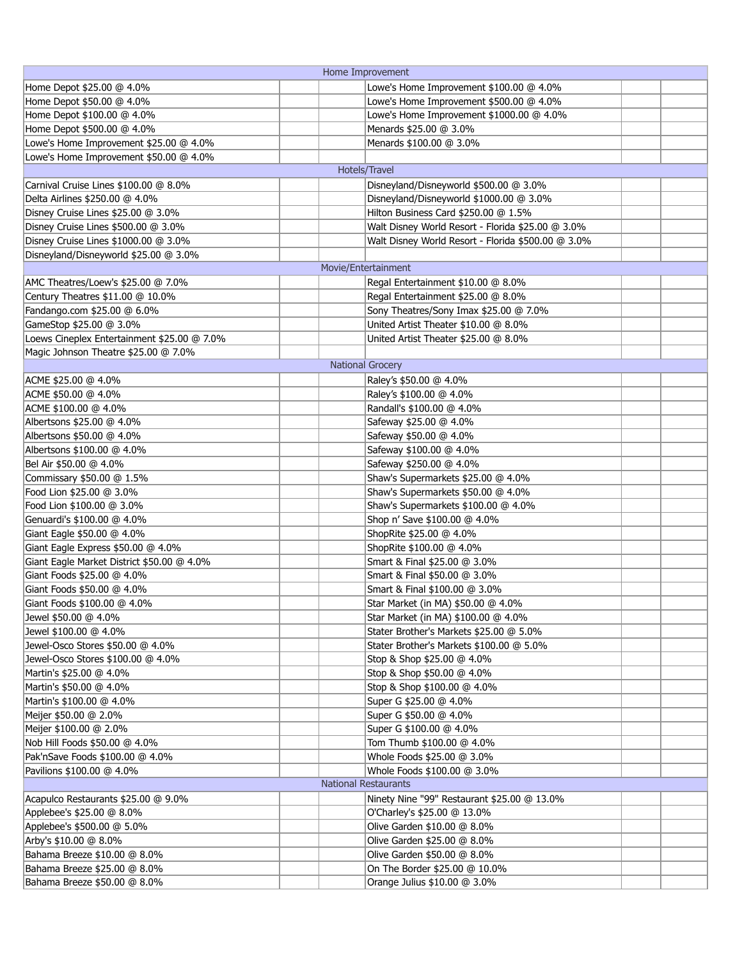| Home Improvement                            |                                                    |  |  |
|---------------------------------------------|----------------------------------------------------|--|--|
| Home Depot \$25.00 @ 4.0%                   | Lowe's Home Improvement \$100.00 @ 4.0%            |  |  |
| Home Depot \$50.00 @ 4.0%                   | Lowe's Home Improvement \$500.00 @ 4.0%            |  |  |
| Home Depot \$100.00 @ 4.0%                  | Lowe's Home Improvement \$1000.00 @ 4.0%           |  |  |
| Home Depot \$500.00 @ 4.0%                  | Menards \$25.00 @ 3.0%                             |  |  |
| Lowe's Home Improvement \$25.00 @ 4.0%      | Menards \$100.00 @ 3.0%                            |  |  |
| Lowe's Home Improvement \$50.00 @ 4.0%      |                                                    |  |  |
|                                             | Hotels/Travel                                      |  |  |
| Carnival Cruise Lines \$100.00 @ 8.0%       | Disneyland/Disneyworld \$500.00 @ 3.0%             |  |  |
| Delta Airlines \$250.00 @ 4.0%              | Disneyland/Disneyworld \$1000.00 @ 3.0%            |  |  |
| Disney Cruise Lines \$25.00 @ 3.0%          | Hilton Business Card \$250.00 @ 1.5%               |  |  |
| Disney Cruise Lines \$500.00 @ 3.0%         | Walt Disney World Resort - Florida \$25.00 @ 3.0%  |  |  |
| Disney Cruise Lines \$1000.00 @ 3.0%        | Walt Disney World Resort - Florida \$500.00 @ 3.0% |  |  |
| Disneyland/Disneyworld \$25.00 @ 3.0%       |                                                    |  |  |
|                                             | Movie/Entertainment                                |  |  |
|                                             |                                                    |  |  |
| AMC Theatres/Loew's \$25.00 @ 7.0%          | Regal Entertainment \$10.00 @ 8.0%                 |  |  |
| Century Theatres \$11.00 @ 10.0%            | Regal Entertainment \$25.00 @ 8.0%                 |  |  |
| Fandango.com \$25.00 @ 6.0%                 | Sony Theatres/Sony Imax \$25.00 @ 7.0%             |  |  |
| GameStop \$25.00 @ 3.0%                     | United Artist Theater \$10.00 @ 8.0%               |  |  |
| Loews Cineplex Entertainment \$25.00 @ 7.0% | United Artist Theater \$25.00 @ 8.0%               |  |  |
| Magic Johnson Theatre \$25.00 @ 7.0%        |                                                    |  |  |
|                                             | <b>National Grocery</b>                            |  |  |
| ACME \$25.00 @ 4.0%                         | Raley's \$50.00 @ 4.0%                             |  |  |
| ACME \$50.00 @ 4.0%                         | Raley's \$100.00 @ 4.0%                            |  |  |
| ACME \$100.00 @ 4.0%                        | Randall's \$100.00 @ 4.0%                          |  |  |
| Albertsons \$25.00 @ 4.0%                   | Safeway \$25.00 @ 4.0%                             |  |  |
| Albertsons \$50.00 @ 4.0%                   | Safeway \$50.00 @ 4.0%                             |  |  |
| Albertsons \$100.00 @ 4.0%                  | Safeway \$100.00 @ 4.0%                            |  |  |
| Bel Air \$50.00 @ 4.0%                      | Safeway \$250.00 @ 4.0%                            |  |  |
| Commissary \$50.00 @ 1.5%                   | Shaw's Supermarkets \$25.00 @ 4.0%                 |  |  |
| Food Lion \$25.00 @ 3.0%                    | Shaw's Supermarkets \$50.00 @ 4.0%                 |  |  |
| Food Lion \$100.00 @ 3.0%                   | Shaw's Supermarkets \$100.00 @ 4.0%                |  |  |
| Genuardi's \$100.00 @ 4.0%                  | Shop n' Save \$100.00 @ 4.0%                       |  |  |
| Giant Eagle \$50.00 @ 4.0%                  | ShopRite \$25.00 @ 4.0%                            |  |  |
| Giant Eagle Express \$50.00 @ 4.0%          | ShopRite \$100.00 @ 4.0%                           |  |  |
| Giant Eagle Market District \$50.00 @ 4.0%  | Smart & Final \$25.00 @ 3.0%                       |  |  |
| Giant Foods \$25.00 @ 4.0%                  | Smart & Final \$50.00 @ 3.0%                       |  |  |
|                                             |                                                    |  |  |
| Giant Foods \$50.00 @ 4.0%                  | Smart & Final \$100.00 @ 3.0%                      |  |  |
| Giant Foods \$100.00 @ 4.0%                 | Star Market (in MA) \$50.00 @ 4.0%                 |  |  |
| Jewel \$50.00 @ 4.0%                        | Star Market (in MA) \$100.00 @ 4.0%                |  |  |
| Jewel \$100.00 @ 4.0%                       | Stater Brother's Markets \$25.00 @ 5.0%            |  |  |
| Jewel-Osco Stores \$50.00 @ 4.0%            | Stater Brother's Markets \$100.00 @ 5.0%           |  |  |
| Jewel-Osco Stores \$100.00 @ 4.0%           | Stop & Shop \$25.00 @ 4.0%                         |  |  |
| Martin's \$25.00 @ 4.0%                     | Stop & Shop \$50.00 @ 4.0%                         |  |  |
| Martin's \$50.00 @ 4.0%                     | Stop & Shop \$100.00 @ 4.0%                        |  |  |
| Martin's \$100.00 @ 4.0%                    | Super G \$25.00 @ 4.0%                             |  |  |
| Meijer \$50.00 @ 2.0%                       | Super G \$50.00 @ 4.0%                             |  |  |
| Meijer \$100.00 @ 2.0%                      | Super G \$100.00 @ 4.0%                            |  |  |
| Nob Hill Foods \$50.00 @ 4.0%               | Tom Thumb \$100.00 @ 4.0%                          |  |  |
| Pak'nSave Foods \$100.00 @ 4.0%             | Whole Foods \$25.00 @ 3.0%                         |  |  |
| Pavilions \$100.00 @ 4.0%                   | Whole Foods \$100.00 @ 3.0%                        |  |  |
|                                             | <b>National Restaurants</b>                        |  |  |
| Acapulco Restaurants \$25.00 @ 9.0%         | Ninety Nine "99" Restaurant \$25.00 @ 13.0%        |  |  |
| Applebee's \$25.00 @ 8.0%                   | O'Charley's \$25.00 @ 13.0%                        |  |  |
| Applebee's \$500.00 @ 5.0%                  | Olive Garden \$10.00 @ 8.0%                        |  |  |
| Arby's \$10.00 @ 8.0%                       | Olive Garden \$25.00 @ 8.0%                        |  |  |
| Bahama Breeze \$10.00 @ 8.0%                | Olive Garden \$50.00 @ 8.0%                        |  |  |
| Bahama Breeze \$25.00 @ 8.0%                | On The Border \$25.00 @ 10.0%                      |  |  |
| Bahama Breeze \$50.00 @ 8.0%                | Orange Julius \$10.00 @ 3.0%                       |  |  |
|                                             |                                                    |  |  |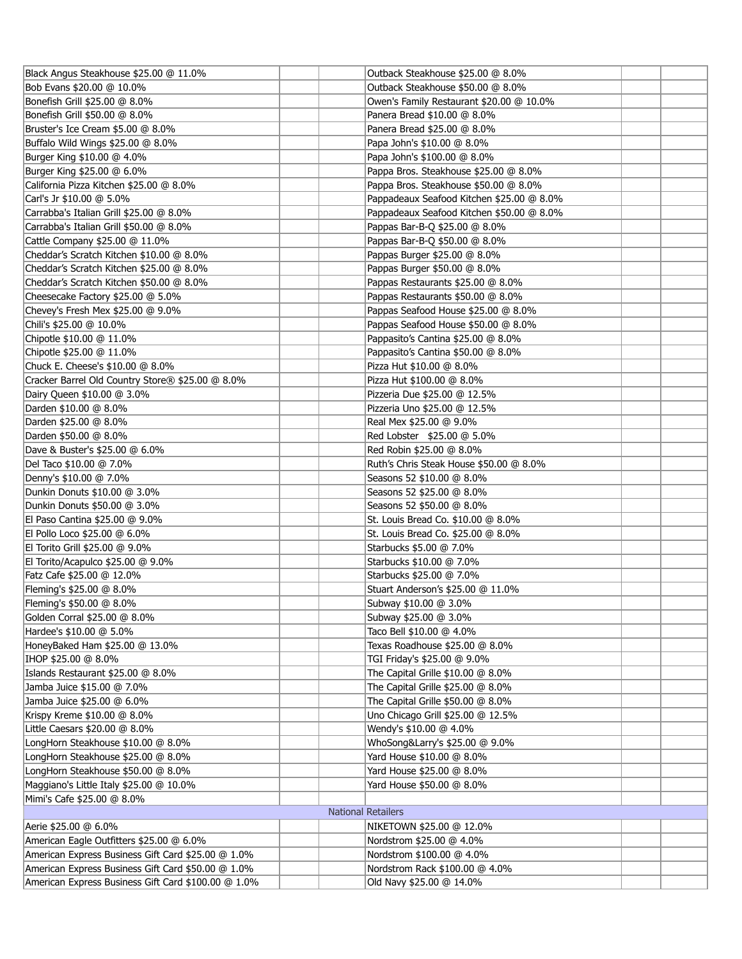| Black Angus Steakhouse \$25.00 @ 11.0%              |                           | Outback Steakhouse \$25.00 @ 8.0%         |  |
|-----------------------------------------------------|---------------------------|-------------------------------------------|--|
| Bob Evans \$20.00 @ 10.0%                           |                           | Outback Steakhouse \$50.00 @ 8.0%         |  |
| Bonefish Grill \$25.00 @ 8.0%                       |                           | Owen's Family Restaurant \$20.00 @ 10.0%  |  |
| Bonefish Grill \$50.00 @ 8.0%                       |                           | Panera Bread \$10.00 @ 8.0%               |  |
| Bruster's Ice Cream \$5.00 @ 8.0%                   |                           | Panera Bread \$25.00 @ 8.0%               |  |
| Buffalo Wild Wings \$25.00 @ 8.0%                   |                           | Papa John's \$10.00 @ 8.0%                |  |
| Burger King \$10.00 @ 4.0%                          |                           | Papa John's \$100.00 @ 8.0%               |  |
| Burger King \$25.00 @ 6.0%                          |                           | Pappa Bros. Steakhouse \$25.00 @ 8.0%     |  |
| California Pizza Kitchen \$25.00 @ 8.0%             |                           | Pappa Bros. Steakhouse \$50.00 @ 8.0%     |  |
| Carl's Jr \$10.00 @ 5.0%                            |                           | Pappadeaux Seafood Kitchen \$25.00 @ 8.0% |  |
| Carrabba's Italian Grill \$25.00 @ 8.0%             |                           | Pappadeaux Seafood Kitchen \$50.00 @ 8.0% |  |
| Carrabba's Italian Grill \$50.00 @ 8.0%             |                           | Pappas Bar-B-Q \$25.00 @ 8.0%             |  |
| Cattle Company \$25.00 @ 11.0%                      |                           | Pappas Bar-B-Q \$50.00 @ 8.0%             |  |
| Cheddar's Scratch Kitchen \$10.00 @ 8.0%            |                           | Pappas Burger \$25.00 @ 8.0%              |  |
| Cheddar's Scratch Kitchen \$25.00 @ 8.0%            |                           | Pappas Burger \$50.00 @ 8.0%              |  |
| Cheddar's Scratch Kitchen \$50.00 @ 8.0%            |                           | Pappas Restaurants \$25.00 @ 8.0%         |  |
| Cheesecake Factory \$25.00 @ 5.0%                   |                           | Pappas Restaurants \$50.00 @ 8.0%         |  |
| Chevey's Fresh Mex \$25.00 @ 9.0%                   |                           | Pappas Seafood House \$25.00 @ 8.0%       |  |
| Chili's \$25.00 @ 10.0%                             |                           | Pappas Seafood House \$50.00 @ 8.0%       |  |
| Chipotle \$10.00 @ 11.0%                            |                           | Pappasito's Cantina \$25.00 @ 8.0%        |  |
| Chipotle \$25.00 @ 11.0%                            |                           | Pappasito's Cantina \$50.00 @ 8.0%        |  |
| Chuck E. Cheese's \$10.00 @ 8.0%                    |                           | Pizza Hut \$10.00 @ 8.0%                  |  |
| Cracker Barrel Old Country Store® \$25.00 @ 8.0%    |                           | Pizza Hut \$100.00 @ 8.0%                 |  |
| Dairy Queen \$10.00 @ 3.0%                          |                           | Pizzeria Due \$25.00 @ 12.5%              |  |
| Darden \$10.00 @ 8.0%                               |                           | Pizzeria Uno \$25.00 @ 12.5%              |  |
|                                                     |                           | Real Mex \$25.00 @ 9.0%                   |  |
| Darden \$25.00 @ 8.0%<br>Darden \$50.00 @ 8.0%      |                           | Red Lobster \$25.00 @ 5.0%                |  |
|                                                     |                           |                                           |  |
| Dave & Buster's \$25.00 @ 6.0%                      |                           | Red Robin \$25.00 @ 8.0%                  |  |
| Del Taco \$10.00 @ 7.0%                             |                           | Ruth's Chris Steak House \$50.00 @ 8.0%   |  |
| Denny's \$10.00 @ 7.0%                              |                           | Seasons 52 \$10.00 @ 8.0%                 |  |
| Dunkin Donuts \$10.00 @ 3.0%                        |                           | Seasons 52 \$25.00 @ 8.0%                 |  |
| Dunkin Donuts \$50.00 @ 3.0%                        |                           | Seasons 52 \$50.00 @ 8.0%                 |  |
| El Paso Cantina \$25.00 @ 9.0%                      |                           | St. Louis Bread Co. \$10.00 @ 8.0%        |  |
| El Pollo Loco \$25.00 @ 6.0%                        |                           | St. Louis Bread Co. \$25.00 @ 8.0%        |  |
| El Torito Grill \$25.00 @ 9.0%                      |                           | Starbucks \$5.00 @ 7.0%                   |  |
| El Torito/Acapulco \$25.00 @ 9.0%                   |                           | Starbucks \$10.00 @ 7.0%                  |  |
| Fatz Cafe \$25.00 @ 12.0%                           |                           | Starbucks \$25.00 @ 7.0%                  |  |
| Fleming's \$25.00 @ 8.0%                            |                           | Stuart Anderson's \$25.00 @ 11.0%         |  |
| Fleming's \$50.00 @ 8.0%                            |                           | Subway \$10.00 @ 3.0%                     |  |
| Golden Corral \$25.00 @ 8.0%                        |                           | Subway \$25.00 @ 3.0%                     |  |
| Hardee's \$10.00 @ 5.0%                             |                           | Taco Bell \$10.00 @ 4.0%                  |  |
| HoneyBaked Ham \$25.00 @ 13.0%                      |                           | Texas Roadhouse \$25.00 @ 8.0%            |  |
| IHOP \$25.00 @ 8.0%                                 |                           | TGI Friday's \$25.00 @ 9.0%               |  |
| Islands Restaurant \$25.00 @ 8.0%                   |                           | The Capital Grille \$10.00 @ 8.0%         |  |
| Jamba Juice \$15.00 @ 7.0%                          |                           | The Capital Grille \$25.00 @ 8.0%         |  |
| Jamba Juice \$25.00 @ 6.0%                          |                           | The Capital Grille \$50.00 @ 8.0%         |  |
| Krispy Kreme \$10.00 @ 8.0%                         |                           | Uno Chicago Grill \$25.00 @ 12.5%         |  |
| Little Caesars \$20.00 @ 8.0%                       |                           | Wendy's \$10.00 @ 4.0%                    |  |
| LongHorn Steakhouse \$10.00 @ 8.0%                  |                           | WhoSong&Larry's \$25.00 @ 9.0%            |  |
| LongHorn Steakhouse \$25.00 @ 8.0%                  |                           | Yard House \$10.00 @ 8.0%                 |  |
| LongHorn Steakhouse \$50.00 @ 8.0%                  |                           | Yard House \$25.00 @ 8.0%                 |  |
| Maggiano's Little Italy \$25.00 @ 10.0%             |                           | Yard House \$50.00 @ 8.0%                 |  |
| Mimi's Cafe \$25.00 @ 8.0%                          |                           |                                           |  |
|                                                     | <b>National Retailers</b> |                                           |  |
| Aerie \$25.00 @ 6.0%                                |                           | NIKETOWN \$25.00 @ 12.0%                  |  |
| American Eagle Outfitters \$25.00 @ 6.0%            |                           | Nordstrom \$25.00 @ 4.0%                  |  |
| American Express Business Gift Card \$25.00 @ 1.0%  |                           | Nordstrom \$100.00 @ 4.0%                 |  |
| American Express Business Gift Card \$50.00 @ 1.0%  |                           | Nordstrom Rack \$100.00 @ 4.0%            |  |
| American Express Business Gift Card \$100.00 @ 1.0% |                           | Old Navy \$25.00 @ 14.0%                  |  |